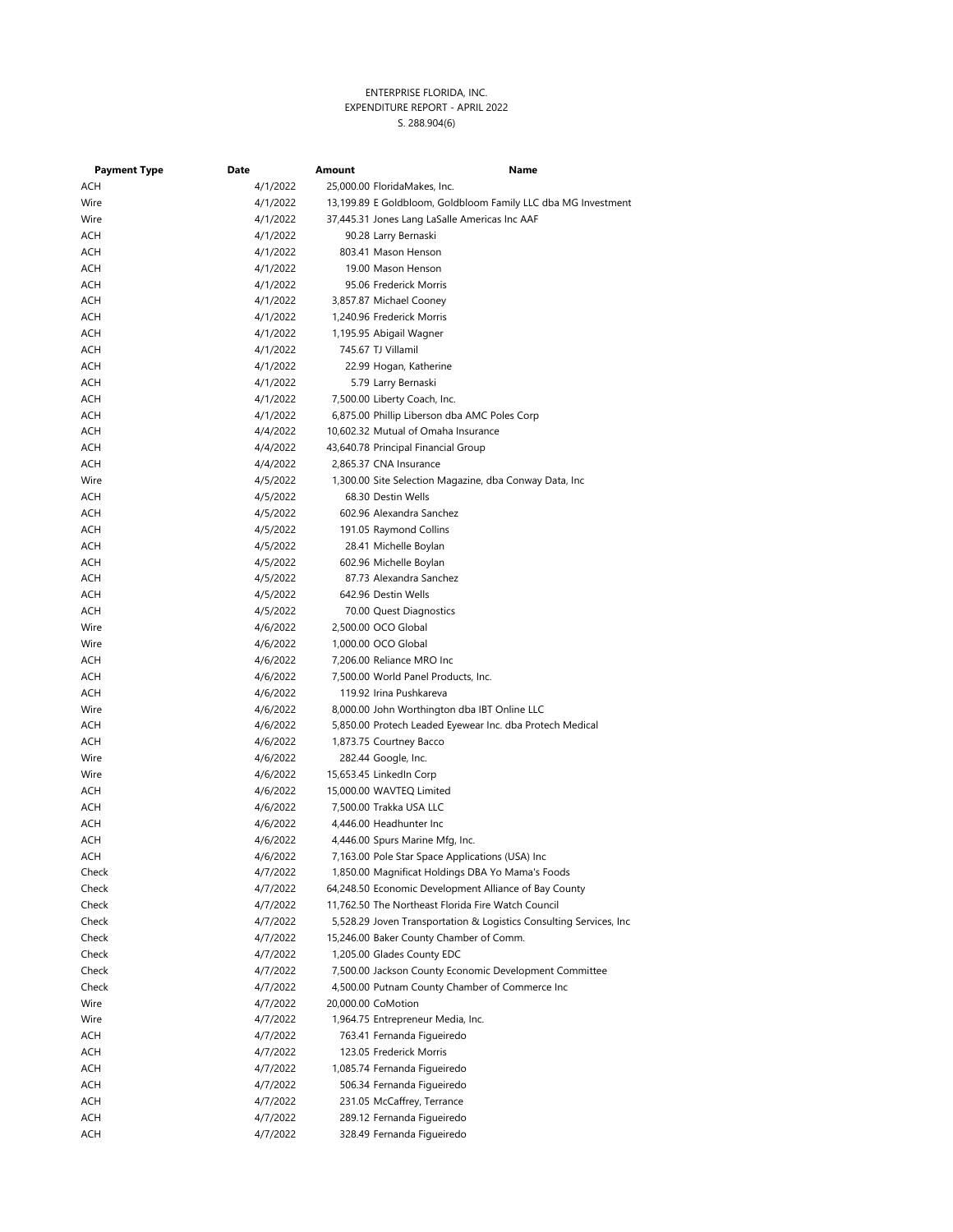| <b>Payment Type</b> | Date                 | Amount | Name                                                                               |
|---------------------|----------------------|--------|------------------------------------------------------------------------------------|
| ACH                 | 4/1/2022             |        | 25,000.00 FloridaMakes, Inc.                                                       |
| Wire                | 4/1/2022             |        | 13,199.89 E Goldbloom, Goldbloom Family LLC dba MG Investment                      |
| Wire                | 4/1/2022             |        | 37,445.31 Jones Lang LaSalle Americas Inc AAF                                      |
| ACH                 | 4/1/2022             |        | 90.28 Larry Bernaski                                                               |
| ACH                 | 4/1/2022             |        | 803.41 Mason Henson                                                                |
| ACH                 | 4/1/2022             |        | 19.00 Mason Henson                                                                 |
| ACH                 | 4/1/2022             |        | 95.06 Frederick Morris                                                             |
| ACH                 | 4/1/2022             |        | 3,857.87 Michael Cooney                                                            |
| ACH                 | 4/1/2022             |        | 1,240.96 Frederick Morris                                                          |
| ACH                 | 4/1/2022             |        | 1,195.95 Abigail Wagner                                                            |
| ACH                 | 4/1/2022             |        | 745.67 TJ Villamil                                                                 |
| ACH                 | 4/1/2022             |        | 22.99 Hogan, Katherine                                                             |
| ACH                 | 4/1/2022             |        | 5.79 Larry Bernaski                                                                |
| ACH                 | 4/1/2022             |        | 7,500.00 Liberty Coach, Inc.                                                       |
| ACH                 | 4/1/2022             |        | 6,875.00 Phillip Liberson dba AMC Poles Corp                                       |
| ACH                 | 4/4/2022             |        | 10,602.32 Mutual of Omaha Insurance                                                |
| ACH                 | 4/4/2022             |        | 43,640.78 Principal Financial Group                                                |
| ACH                 | 4/4/2022             |        | 2,865.37 CNA Insurance                                                             |
| Wire                | 4/5/2022             |        | 1,300.00 Site Selection Magazine, dba Conway Data, Inc                             |
| ACH                 | 4/5/2022             |        | 68.30 Destin Wells                                                                 |
| ACH                 | 4/5/2022             |        | 602.96 Alexandra Sanchez                                                           |
| ACH                 | 4/5/2022             |        | 191.05 Raymond Collins                                                             |
| ACH                 | 4/5/2022             |        | 28.41 Michelle Boylan                                                              |
| ACH                 | 4/5/2022             |        | 602.96 Michelle Boylan                                                             |
| ACH                 | 4/5/2022             |        | 87.73 Alexandra Sanchez                                                            |
| ACH                 | 4/5/2022             |        | 642.96 Destin Wells                                                                |
| ACH                 | 4/5/2022             |        | 70.00 Quest Diagnostics                                                            |
| Wire                | 4/6/2022             |        | 2,500.00 OCO Global                                                                |
| Wire                | 4/6/2022             |        | 1,000.00 OCO Global                                                                |
| ACH                 | 4/6/2022             |        | 7,206.00 Reliance MRO Inc                                                          |
| ACH                 | 4/6/2022             |        | 7,500.00 World Panel Products, Inc.                                                |
| ACH                 | 4/6/2022             |        | 119.92 Irina Pushkareva                                                            |
| Wire                | 4/6/2022             |        | 8,000.00 John Worthington dba IBT Online LLC                                       |
| ACH                 | 4/6/2022             |        | 5,850.00 Protech Leaded Eyewear Inc. dba Protech Medical                           |
| ACH                 | 4/6/2022             |        | 1,873.75 Courtney Bacco                                                            |
| Wire                | 4/6/2022             |        | 282.44 Google, Inc.                                                                |
| Wire                | 4/6/2022             |        | 15,653.45 LinkedIn Corp                                                            |
| ACH                 | 4/6/2022             |        | 15,000.00 WAVTEQ Limited                                                           |
| ACH                 | 4/6/2022             |        | 7,500.00 Trakka USA LLC                                                            |
| ACH                 | 4/6/2022             |        | 4,446.00 Headhunter Inc                                                            |
| ACH                 | 4/6/2022             |        | 4,446.00 Spurs Marine Mfg, Inc.<br>7,163.00 Pole Star Space Applications (USA) Inc |
| ACH<br>Check        | 4/6/2022<br>4/7/2022 |        | 1,850.00 Magnificat Holdings DBA Yo Mama's Foods                                   |
| Check               | 4/7/2022             |        | 64,248.50 Economic Development Alliance of Bay County                              |
| Check               | 4/7/2022             |        | 11,762.50 The Northeast Florida Fire Watch Council                                 |
| Check               | 4/7/2022             |        | 5,528.29 Joven Transportation & Logistics Consulting Services, Inc.                |
| Check               | 4/7/2022             |        | 15,246.00 Baker County Chamber of Comm.                                            |
| Check               | 4/7/2022             |        | 1,205.00 Glades County EDC                                                         |
| Check               | 4/7/2022             |        | 7,500.00 Jackson County Economic Development Committee                             |
| Check               | 4/7/2022             |        | 4,500.00 Putnam County Chamber of Commerce Inc                                     |
| Wire                | 4/7/2022             |        | 20,000.00 CoMotion                                                                 |
| Wire                | 4/7/2022             |        | 1,964.75 Entrepreneur Media, Inc.                                                  |
| ACH                 | 4/7/2022             |        | 763.41 Fernanda Figueiredo                                                         |
| ACH                 | 4/7/2022             |        | 123.05 Frederick Morris                                                            |
| ACH                 | 4/7/2022             |        | 1,085.74 Fernanda Figueiredo                                                       |
| ACH                 | 4/7/2022             |        | 506.34 Fernanda Figueiredo                                                         |
| ACH                 | 4/7/2022             |        | 231.05 McCaffrey, Terrance                                                         |
| ACH                 | 4/7/2022             |        | 289.12 Fernanda Figueiredo                                                         |
| ACH                 | 4/7/2022             |        | 328.49 Fernanda Figueiredo                                                         |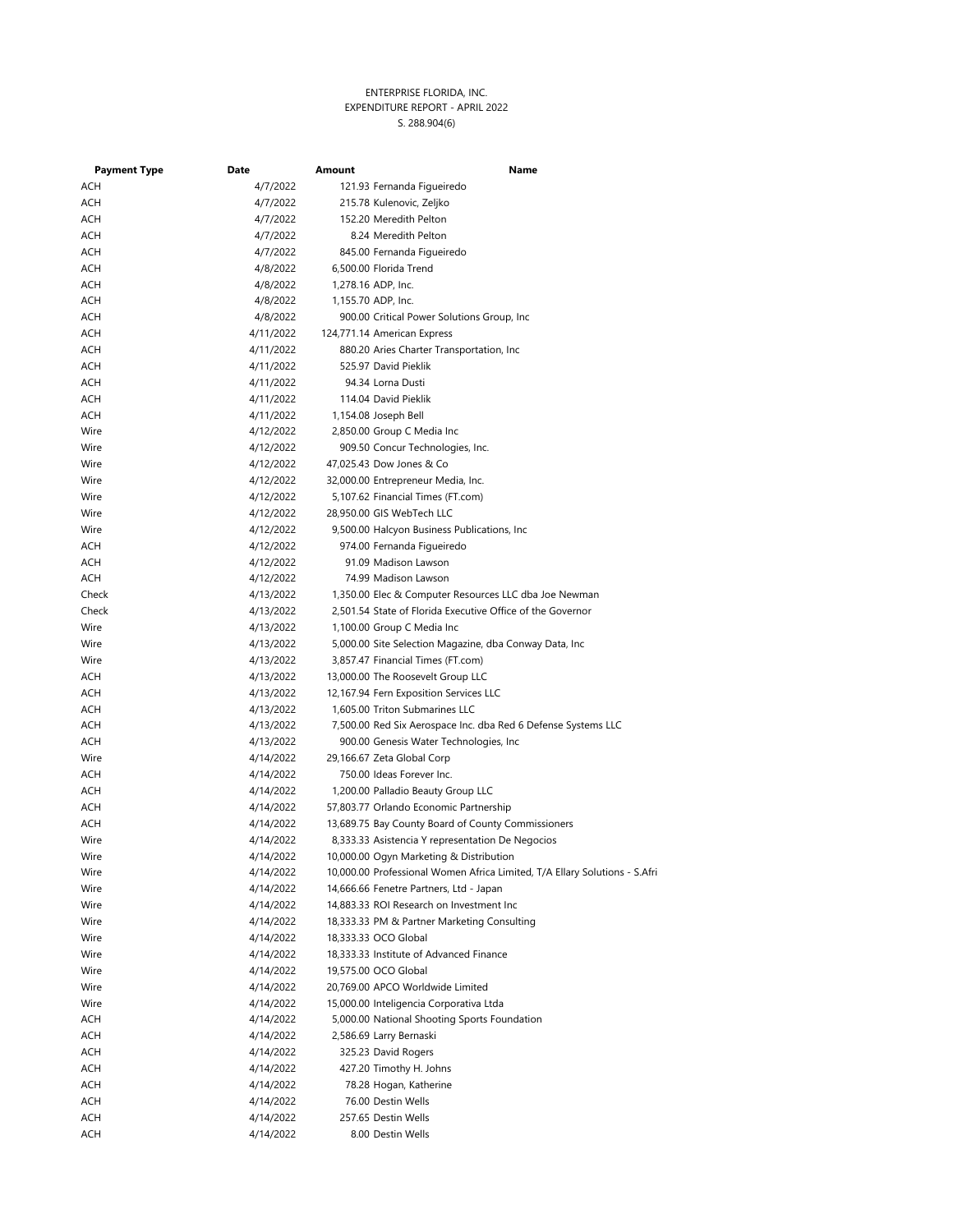| <b>Payment Type</b> | Date      | Amount | Name                                                                       |
|---------------------|-----------|--------|----------------------------------------------------------------------------|
| ACH                 | 4/7/2022  |        | 121.93 Fernanda Figueiredo                                                 |
| ACH                 | 4/7/2022  |        | 215.78 Kulenovic, Zeljko                                                   |
| ACH                 | 4/7/2022  |        | 152.20 Meredith Pelton                                                     |
| ACH                 | 4/7/2022  |        | 8.24 Meredith Pelton                                                       |
| ACH                 | 4/7/2022  |        | 845.00 Fernanda Figueiredo                                                 |
| ACH                 | 4/8/2022  |        | 6,500.00 Florida Trend                                                     |
| ACH                 | 4/8/2022  |        | 1,278.16 ADP, Inc.                                                         |
| ACH                 | 4/8/2022  |        | 1,155.70 ADP, Inc.                                                         |
| ACH                 | 4/8/2022  |        | 900.00 Critical Power Solutions Group, Inc.                                |
| ACH                 | 4/11/2022 |        | 124,771.14 American Express                                                |
| ACH                 | 4/11/2022 |        | 880.20 Aries Charter Transportation, Inc.                                  |
| ACH                 | 4/11/2022 |        | 525.97 David Pieklik                                                       |
| ACH                 | 4/11/2022 |        | 94.34 Lorna Dusti                                                          |
| ACH                 | 4/11/2022 |        | 114.04 David Pieklik                                                       |
| ACH                 | 4/11/2022 |        | 1,154.08 Joseph Bell                                                       |
| Wire                | 4/12/2022 |        | 2,850.00 Group C Media Inc                                                 |
| Wire                | 4/12/2022 |        | 909.50 Concur Technologies, Inc.                                           |
| Wire                | 4/12/2022 |        | 47,025.43 Dow Jones & Co                                                   |
| Wire                | 4/12/2022 |        | 32,000.00 Entrepreneur Media, Inc.                                         |
| Wire                | 4/12/2022 |        | 5,107.62 Financial Times (FT.com)                                          |
| Wire                | 4/12/2022 |        | 28,950.00 GIS WebTech LLC                                                  |
| Wire                | 4/12/2022 |        | 9,500.00 Halcyon Business Publications, Inc.                               |
| ACH                 | 4/12/2022 |        | 974.00 Fernanda Figueiredo                                                 |
| ACH                 | 4/12/2022 |        | 91.09 Madison Lawson                                                       |
| ACH                 | 4/12/2022 |        | 74.99 Madison Lawson                                                       |
| Check               | 4/13/2022 |        | 1,350.00 Elec & Computer Resources LLC dba Joe Newman                      |
| Check               | 4/13/2022 |        | 2,501.54 State of Florida Executive Office of the Governor                 |
| Wire                | 4/13/2022 |        | 1,100.00 Group C Media Inc                                                 |
| Wire                | 4/13/2022 |        | 5,000.00 Site Selection Magazine, dba Conway Data, Inc                     |
| Wire                | 4/13/2022 |        | 3,857.47 Financial Times (FT.com)                                          |
| ACH                 | 4/13/2022 |        | 13,000.00 The Roosevelt Group LLC                                          |
| ACH                 | 4/13/2022 |        | 12,167.94 Fern Exposition Services LLC                                     |
| ACH                 | 4/13/2022 |        | 1,605.00 Triton Submarines LLC                                             |
| ACH                 | 4/13/2022 |        | 7,500.00 Red Six Aerospace Inc. dba Red 6 Defense Systems LLC              |
| ACH                 | 4/13/2022 |        | 900.00 Genesis Water Technologies, Inc                                     |
| Wire                | 4/14/2022 |        | 29,166.67 Zeta Global Corp                                                 |
| ACH                 | 4/14/2022 |        | 750.00 Ideas Forever Inc.                                                  |
| ACH                 | 4/14/2022 |        | 1,200.00 Palladio Beauty Group LLC                                         |
| ACH                 | 4/14/2022 |        | 57,803.77 Orlando Economic Partnership                                     |
| ACH                 | 4/14/2022 |        | 13,689.75 Bay County Board of County Commissioners                         |
| Wire                | 4/14/2022 |        | 8,333.33 Asistencia Y representation De Negocios                           |
| Wire                | 4/14/2022 |        | 10,000.00 Ogyn Marketing & Distribution                                    |
| Wire                | 4/14/2022 |        | 10,000.00 Professional Women Africa Limited, T/A Ellary Solutions - S.Afri |
| Wire                | 4/14/2022 |        | 14,666.66 Fenetre Partners, Ltd - Japan                                    |
| Wire                | 4/14/2022 |        | 14,883.33 ROI Research on Investment Inc                                   |
| Wire                | 4/14/2022 |        | 18,333.33 PM & Partner Marketing Consulting                                |
| Wire                | 4/14/2022 |        | 18,333.33 OCO Global                                                       |
| Wire                | 4/14/2022 |        | 18,333.33 Institute of Advanced Finance                                    |
| Wire                | 4/14/2022 |        | 19,575.00 OCO Global                                                       |
| Wire                | 4/14/2022 |        | 20,769.00 APCO Worldwide Limited                                           |
| Wire                | 4/14/2022 |        | 15,000.00 Inteligencia Corporativa Ltda                                    |
| ACH                 | 4/14/2022 |        | 5,000.00 National Shooting Sports Foundation                               |
| ACH                 | 4/14/2022 |        | 2,586.69 Larry Bernaski                                                    |
| ACH                 | 4/14/2022 |        | 325.23 David Rogers                                                        |
| ACH                 | 4/14/2022 |        | 427.20 Timothy H. Johns                                                    |
| ACH                 | 4/14/2022 |        | 78.28 Hogan, Katherine                                                     |
| ACH                 | 4/14/2022 |        | 76.00 Destin Wells                                                         |
| ACH                 | 4/14/2022 |        | 257.65 Destin Wells                                                        |
| ACH                 | 4/14/2022 |        | 8.00 Destin Wells                                                          |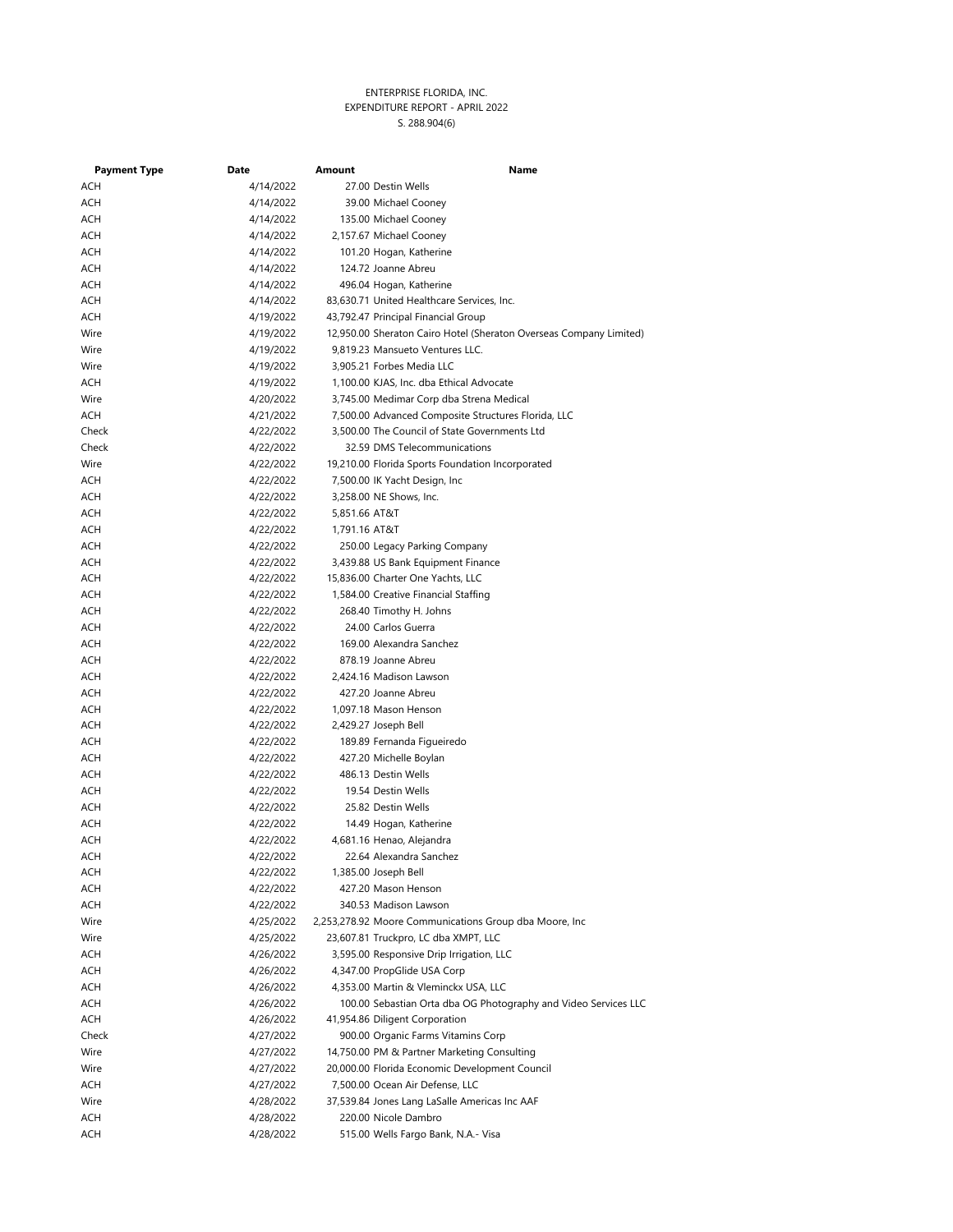| <b>Payment Type</b> | Date      | Amount        | Name                                                               |
|---------------------|-----------|---------------|--------------------------------------------------------------------|
| ACH                 | 4/14/2022 |               | 27.00 Destin Wells                                                 |
| ACH                 | 4/14/2022 |               | 39.00 Michael Cooney                                               |
| ACH                 | 4/14/2022 |               | 135.00 Michael Cooney                                              |
| ACH                 | 4/14/2022 |               | 2,157.67 Michael Cooney                                            |
| ACH                 | 4/14/2022 |               | 101.20 Hogan, Katherine                                            |
| ACH                 | 4/14/2022 |               | 124.72 Joanne Abreu                                                |
| ACH                 | 4/14/2022 |               | 496.04 Hogan, Katherine                                            |
| ACH                 | 4/14/2022 |               | 83,630.71 United Healthcare Services, Inc.                         |
| ACH                 | 4/19/2022 |               | 43,792.47 Principal Financial Group                                |
| Wire                | 4/19/2022 |               | 12,950.00 Sheraton Cairo Hotel (Sheraton Overseas Company Limited) |
| Wire                | 4/19/2022 |               | 9,819.23 Mansueto Ventures LLC.                                    |
| Wire                | 4/19/2022 |               | 3,905.21 Forbes Media LLC                                          |
| ACH                 | 4/19/2022 |               | 1,100.00 KJAS, Inc. dba Ethical Advocate                           |
| Wire                | 4/20/2022 |               | 3,745.00 Medimar Corp dba Strena Medical                           |
| ACH                 | 4/21/2022 |               | 7,500.00 Advanced Composite Structures Florida, LLC                |
| Check               | 4/22/2022 |               | 3,500.00 The Council of State Governments Ltd                      |
| Check               | 4/22/2022 |               | 32.59 DMS Telecommunications                                       |
| Wire                | 4/22/2022 |               | 19,210.00 Florida Sports Foundation Incorporated                   |
| ACH                 | 4/22/2022 |               | 7,500.00 IK Yacht Design, Inc.                                     |
| ACH                 | 4/22/2022 |               | 3,258.00 NE Shows, Inc.                                            |
| ACH                 | 4/22/2022 | 5,851.66 AT&T |                                                                    |
| ACH                 | 4/22/2022 | 1,791.16 AT&T |                                                                    |
| ACH                 | 4/22/2022 |               | 250.00 Legacy Parking Company                                      |
| ACH                 | 4/22/2022 |               | 3,439.88 US Bank Equipment Finance                                 |
| ACH                 | 4/22/2022 |               | 15,836.00 Charter One Yachts, LLC                                  |
| ACH                 | 4/22/2022 |               | 1,584.00 Creative Financial Staffing                               |
| ACH                 | 4/22/2022 |               | 268.40 Timothy H. Johns                                            |
| ACH                 | 4/22/2022 |               | 24.00 Carlos Guerra                                                |
| ACH                 | 4/22/2022 |               | 169.00 Alexandra Sanchez                                           |
| ACH                 | 4/22/2022 |               | 878.19 Joanne Abreu                                                |
| ACH                 | 4/22/2022 |               | 2,424.16 Madison Lawson                                            |
| ACH                 | 4/22/2022 |               | 427.20 Joanne Abreu                                                |
| ACH                 | 4/22/2022 |               | 1,097.18 Mason Henson                                              |
| ACH                 | 4/22/2022 |               | 2,429.27 Joseph Bell                                               |
| ACH                 | 4/22/2022 |               | 189.89 Fernanda Figueiredo                                         |
| ACH                 | 4/22/2022 |               | 427.20 Michelle Boylan                                             |
| ACH                 | 4/22/2022 |               | 486.13 Destin Wells                                                |
| ACH                 | 4/22/2022 |               | 19.54 Destin Wells                                                 |
| ACH                 | 4/22/2022 |               | 25.82 Destin Wells                                                 |
| ACH                 | 4/22/2022 |               | 14.49 Hogan, Katherine                                             |
| ACH                 | 4/22/2022 |               | 4,681.16 Henao, Alejandra                                          |
| ACH                 | 4/22/2022 |               | 22.64 Alexandra Sanchez                                            |
| ACH                 | 4/22/2022 |               | 1,385.00 Joseph Bell                                               |
| ACH                 | 4/22/2022 |               | 427.20 Mason Henson                                                |
| ACH                 | 4/22/2022 |               | 340.53 Madison Lawson                                              |
| Wire                | 4/25/2022 |               | 2,253,278.92 Moore Communications Group dba Moore, Inc             |
| Wire                | 4/25/2022 |               | 23,607.81 Truckpro, LC dba XMPT, LLC                               |
| ACH                 | 4/26/2022 |               | 3,595.00 Responsive Drip Irrigation, LLC                           |
| ACH                 | 4/26/2022 |               | 4,347.00 PropGlide USA Corp                                        |
| ACH                 | 4/26/2022 |               | 4,353.00 Martin & Vleminckx USA, LLC                               |
| ACH                 | 4/26/2022 |               | 100.00 Sebastian Orta dba OG Photography and Video Services LLC    |
| ACH                 | 4/26/2022 |               | 41,954.86 Diligent Corporation                                     |
| Check               | 4/27/2022 |               | 900.00 Organic Farms Vitamins Corp                                 |
| Wire                | 4/27/2022 |               | 14,750.00 PM & Partner Marketing Consulting                        |
| Wire                | 4/27/2022 |               | 20,000.00 Florida Economic Development Council                     |
| ACH                 | 4/27/2022 |               | 7,500.00 Ocean Air Defense, LLC                                    |
| Wire                | 4/28/2022 |               | 37,539.84 Jones Lang LaSalle Americas Inc AAF                      |
| ACH                 | 4/28/2022 |               | 220.00 Nicole Dambro                                               |
| ACH                 | 4/28/2022 |               | 515.00 Wells Fargo Bank, N.A.- Visa                                |